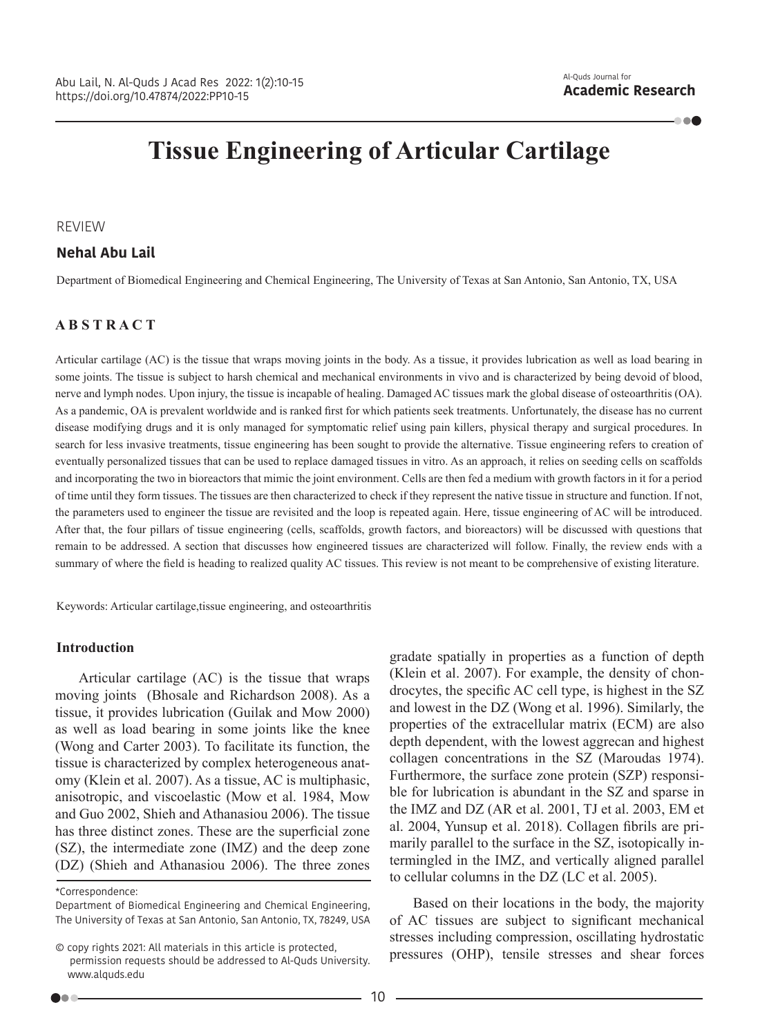100

# **Tissue Engineering of Articular Cartilage**

## REVIEW

### **Nehal Abu Lail**

Department of Biomedical Engineering and Chemical Engineering, The University of Texas at San Antonio, San Antonio, TX, USA

# **A B S T R A C T**

Articular cartilage (AC) is the tissue that wraps moving joints in the body. As a tissue, it provides lubrication as well as load bearing in some joints. The tissue is subject to harsh chemical and mechanical environments in vivo and is characterized by being devoid of blood, nerve and lymph nodes. Upon injury, the tissue is incapable of healing. Damaged AC tissues mark the global disease of osteoarthritis (OA). As a pandemic, OA is prevalent worldwide and is ranked first for which patients seek treatments. Unfortunately, the disease has no current disease modifying drugs and it is only managed for symptomatic relief using pain killers, physical therapy and surgical procedures. In search for less invasive treatments, tissue engineering has been sought to provide the alternative. Tissue engineering refers to creation of eventually personalized tissues that can be used to replace damaged tissues in vitro. As an approach, it relies on seeding cells on scaffolds and incorporating the two in bioreactors that mimic the joint environment. Cells are then fed a medium with growth factors in it for a period of time until they form tissues. The tissues are then characterized to check if they represent the native tissue in structure and function. If not, the parameters used to engineer the tissue are revisited and the loop is repeated again. Here, tissue engineering of AC will be introduced. After that, the four pillars of tissue engineering (cells, scaffolds, growth factors, and bioreactors) will be discussed with questions that remain to be addressed. A section that discusses how engineered tissues are characterized will follow. Finally, the review ends with a summary of where the field is heading to realized quality AC tissues. This review is not meant to be comprehensive of existing literature.

Keywords: Articular cartilage,tissue engineering, and osteoarthritis

#### **Introduction**

Articular cartilage (AC) is the tissue that wraps moving joints (Bhosale and Richardson 2008). As a tissue, it provides lubrication (Guilak and Mow 2000) as well as load bearing in some joints like the knee (Wong and Carter 2003). To facilitate its function, the tissue is characterized by complex heterogeneous anatomy (Klein et al. 2007). As a tissue, AC is multiphasic, anisotropic, and viscoelastic (Mow et al. 1984, Mow and Guo 2002, Shieh and Athanasiou 2006). The tissue has three distinct zones. These are the superficial zone (SZ), the intermediate zone (IMZ) and the deep zone (DZ) (Shieh and Athanasiou 2006). The three zones

\*Correspondence:

Department of Biomedical Engineering and Chemical Engineering, The University of Texas at San Antonio, San Antonio, TX, 78249, USA gradate spatially in properties as a function of depth (Klein et al. 2007). For example, the density of chondrocytes, the specific AC cell type, is highest in the SZ and lowest in the DZ (Wong et al. 1996). Similarly, the properties of the extracellular matrix (ECM) are also depth dependent, with the lowest aggrecan and highest collagen concentrations in the SZ (Maroudas 1974). Furthermore, the surface zone protein (SZP) responsible for lubrication is abundant in the SZ and sparse in the IMZ and DZ (AR et al. 2001, TJ et al. 2003, EM et al. 2004, Yunsup et al. 2018). Collagen fibrils are primarily parallel to the surface in the SZ, isotopically intermingled in the IMZ, and vertically aligned parallel to cellular columns in the DZ (LC et al. 2005).

Based on their locations in the body, the majority of AC tissues are subject to significant mechanical stresses including compression, oscillating hydrostatic pressures (OHP), tensile stresses and shear forces

<sup>©</sup> copy rights 2021: All materials in this article is protected, permission requests should be addressed to Al-Quds University. www.alquds.edu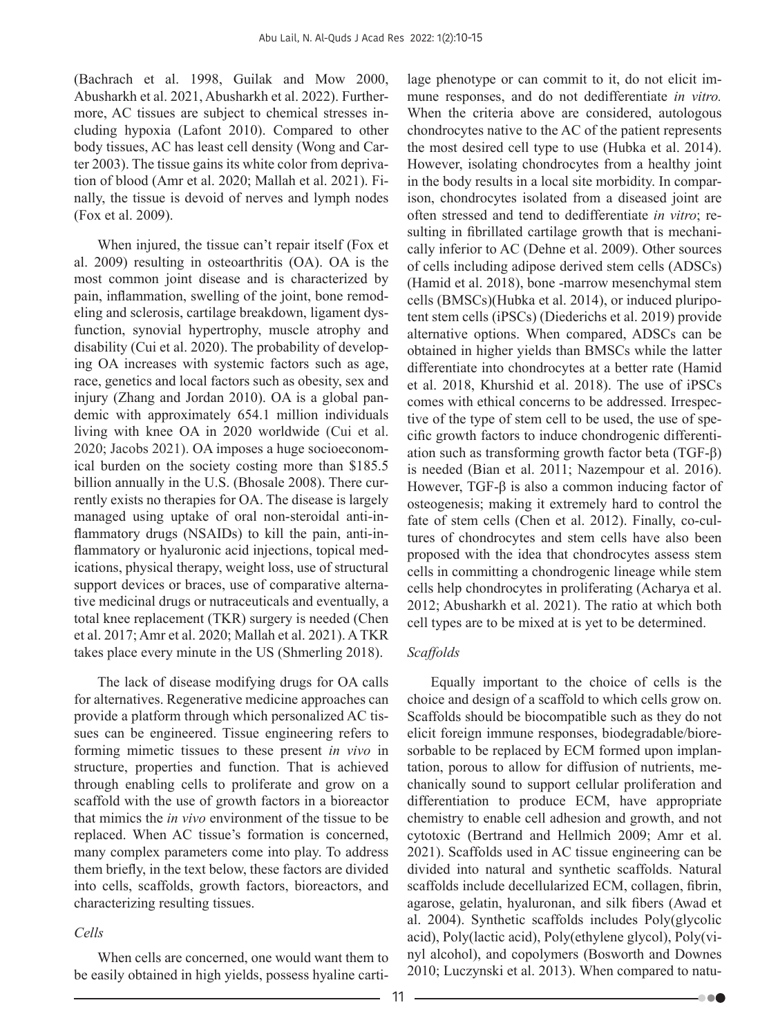(Bachrach et al. 1998, Guilak and Mow 2000, Abusharkh et al. 2021, Abusharkh et al. 2022). Furthermore, AC tissues are subject to chemical stresses including hypoxia (Lafont 2010). Compared to other body tissues, AC has least cell density (Wong and Carter 2003). The tissue gains its white color from deprivation of blood (Amr et al. 2020; Mallah et al. 2021). Finally, the tissue is devoid of nerves and lymph nodes (Fox et al. 2009).

When injured, the tissue can't repair itself (Fox et al. 2009) resulting in osteoarthritis (OA). OA is the most common joint disease and is characterized by pain, inflammation, swelling of the joint, bone remodeling and sclerosis, cartilage breakdown, ligament dysfunction, synovial hypertrophy, muscle atrophy and disability (Cui et al. 2020). The probability of developing OA increases with systemic factors such as age, race, genetics and local factors such as obesity, sex and injury (Zhang and Jordan 2010). OA is a global pandemic with approximately 654.1 million individuals living with knee OA in 2020 worldwide (Cui et al. 2020; Jacobs 2021). OA imposes a huge socioeconomical burden on the society costing more than \$185.5 billion annually in the U.S. (Bhosale 2008). There currently exists no therapies for OA. The disease is largely managed using uptake of oral non-steroidal anti-inflammatory drugs (NSAIDs) to kill the pain, anti-inflammatory or hyaluronic acid injections, topical medications, physical therapy, weight loss, use of structural support devices or braces, use of comparative alternative medicinal drugs or nutraceuticals and eventually, a total knee replacement (TKR) surgery is needed (Chen et al. 2017; Amr et al. 2020; Mallah et al. 2021). A TKR takes place every minute in the US (Shmerling 2018).

The lack of disease modifying drugs for OA calls for alternatives. Regenerative medicine approaches can provide a platform through which personalized AC tissues can be engineered. Tissue engineering refers to forming mimetic tissues to these present *in vivo* in structure, properties and function. That is achieved through enabling cells to proliferate and grow on a scaffold with the use of growth factors in a bioreactor that mimics the *in vivo* environment of the tissue to be replaced. When AC tissue's formation is concerned, many complex parameters come into play. To address them briefly, in the text below, these factors are divided into cells, scaffolds, growth factors, bioreactors, and characterizing resulting tissues.

## *Cells*

When cells are concerned, one would want them to be easily obtained in high yields, possess hyaline cartilage phenotype or can commit to it, do not elicit immune responses, and do not dedifferentiate *in vitro.* When the criteria above are considered, autologous chondrocytes native to the AC of the patient represents the most desired cell type to use (Hubka et al. 2014). However, isolating chondrocytes from a healthy joint in the body results in a local site morbidity. In comparison, chondrocytes isolated from a diseased joint are often stressed and tend to dedifferentiate *in vitro*; resulting in fibrillated cartilage growth that is mechanically inferior to AC (Dehne et al. 2009). Other sources of cells including adipose derived stem cells (ADSCs) (Hamid et al. 2018), bone -marrow mesenchymal stem cells (BMSCs)(Hubka et al. 2014), or induced pluripotent stem cells (iPSCs) (Diederichs et al. 2019) provide alternative options. When compared, ADSCs can be obtained in higher yields than BMSCs while the latter differentiate into chondrocytes at a better rate (Hamid et al. 2018, Khurshid et al. 2018). The use of iPSCs comes with ethical concerns to be addressed. Irrespective of the type of stem cell to be used, the use of specific growth factors to induce chondrogenic differentiation such as transforming growth factor beta (TGF-β) is needed (Bian et al. 2011; Nazempour et al. 2016). However, TGF-β is also a common inducing factor of osteogenesis; making it extremely hard to control the fate of stem cells (Chen et al. 2012). Finally, co-cultures of chondrocytes and stem cells have also been proposed with the idea that chondrocytes assess stem cells in committing a chondrogenic lineage while stem cells help chondrocytes in proliferating (Acharya et al. 2012; Abusharkh et al. 2021). The ratio at which both cell types are to be mixed at is yet to be determined.

# *Scaffolds*

Equally important to the choice of cells is the choice and design of a scaffold to which cells grow on. Scaffolds should be biocompatible such as they do not elicit foreign immune responses, biodegradable/bioresorbable to be replaced by ECM formed upon implantation, porous to allow for diffusion of nutrients, mechanically sound to support cellular proliferation and differentiation to produce ECM, have appropriate chemistry to enable cell adhesion and growth, and not cytotoxic (Bertrand and Hellmich 2009; Amr et al. 2021). Scaffolds used in AC tissue engineering can be divided into natural and synthetic scaffolds. Natural scaffolds include decellularized ECM, collagen, fibrin, agarose, gelatin, hyaluronan, and silk fibers (Awad et al. 2004). Synthetic scaffolds includes Poly(glycolic acid), Poly(lactic acid), Poly(ethylene glycol), Poly(vinyl alcohol), and copolymers (Bosworth and Downes 2010; Luczynski et al. 2013). When compared to natu-

 $\bullet\bullet\bullet$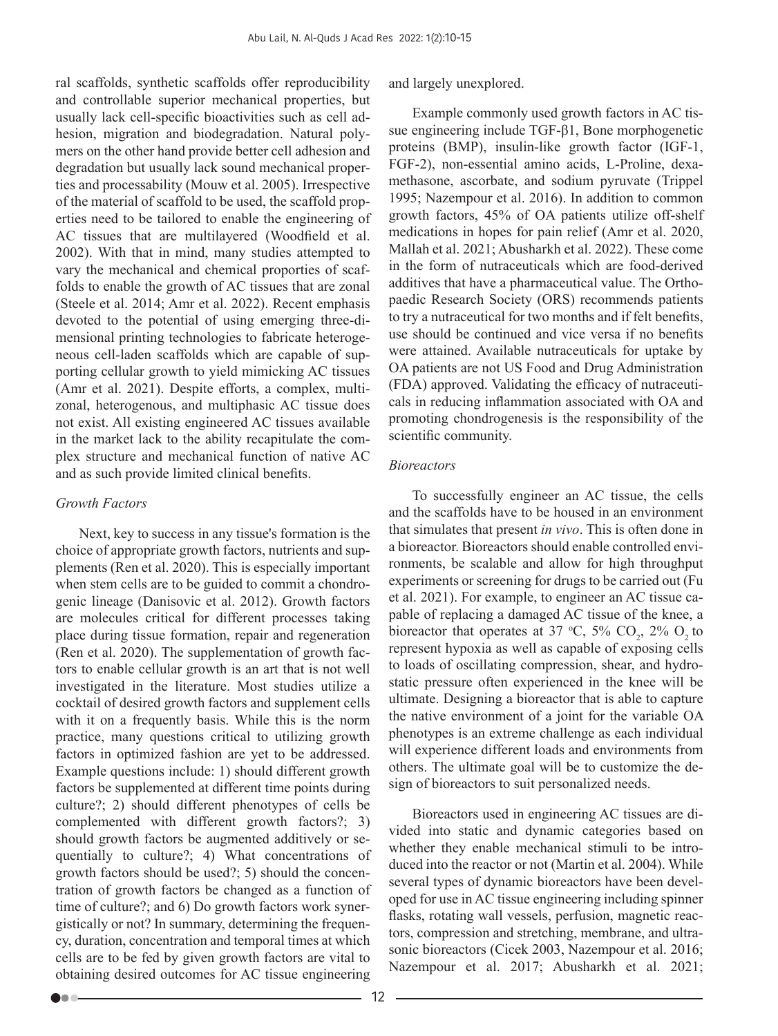ral scaffolds, synthetic scaffolds offer reproducibility and controllable superior mechanical properties, but usually lack cell-specific bioactivities such as cell adhesion, migration and biodegradation. Natural polymers on the other hand provide better cell adhesion and degradation but usually lack sound mechanical properties and processability (Mouw et al. 2005). Irrespective of the material of scaffold to be used, the scaffold properties need to be tailored to enable the engineering of AC tissues that are multilayered (Woodfield et al. 2002). With that in mind, many studies attempted to vary the mechanical and chemical proporties of scaffolds to enable the growth of AC tissues that are zonal (Steele et al. 2014; Amr et al. 2022). Recent emphasis devoted to the potential of using emerging three-dimensional printing technologies to fabricate heterogeneous cell-laden scaffolds which are capable of supporting cellular growth to yield mimicking AC tissues (Amr et al. 2021). Despite efforts, a complex, multizonal, heterogenous, and multiphasic AC tissue does not exist. All existing engineered AC tissues available in the market lack to the ability recapitulate the complex structure and mechanical function of native AC and as such provide limited clinical benefits.

#### *Growth Factors*

00 C

Next, key to success in any tissue's formation is the choice of appropriate growth factors, nutrients and supplements (Ren et al. 2020). This is especially important when stem cells are to be guided to commit a chondrogenic lineage (Danisovic et al. 2012). Growth factors are molecules critical for different processes taking place during tissue formation, repair and regeneration (Ren et al. 2020). The supplementation of growth factors to enable cellular growth is an art that is not well investigated in the literature. Most studies utilize a cocktail of desired growth factors and supplement cells with it on a frequently basis. While this is the norm practice, many questions critical to utilizing growth factors in optimized fashion are yet to be addressed. Example questions include: 1) should different growth factors be supplemented at different time points during culture?; 2) should different phenotypes of cells be complemented with different growth factors?; 3) should growth factors be augmented additively or sequentially to culture?; 4) What concentrations of growth factors should be used?; 5) should the concentration of growth factors be changed as a function of time of culture?; and 6) Do growth factors work synergistically or not? In summary, determining the frequency, duration, concentration and temporal times at which cells are to be fed by given growth factors are vital to obtaining desired outcomes for AC tissue engineering

and largely unexplored.

Example commonly used growth factors in AC tissue engineering include TGF-β1, Bone morphogenetic proteins (BMP), insulin-like growth factor (IGF-1, FGF-2), non-essential amino acids, L-Proline, dexamethasone, ascorbate, and sodium pyruvate (Trippel 1995; Nazempour et al. 2016). In addition to common growth factors, 45% of OA patients utilize off-shelf medications in hopes for pain relief (Amr et al. 2020, Mallah et al. 2021; Abusharkh et al. 2022). These come in the form of nutraceuticals which are food-derived additives that have a pharmaceutical value. The Orthopaedic Research Society (ORS) recommends patients to try a nutraceutical for two months and if felt benefits, use should be continued and vice versa if no benefits were attained. Available nutraceuticals for uptake by OA patients are not US Food and Drug Administration (FDA) approved. Validating the efficacy of nutraceuticals in reducing inflammation associated with OA and promoting chondrogenesis is the responsibility of the scientific community.

#### *Bioreactors*

To successfully engineer an AC tissue, the cells and the scaffolds have to be housed in an environment that simulates that present *in vivo*. This is often done in a bioreactor. Bioreactors should enable controlled environments, be scalable and allow for high throughput experiments or screening for drugs to be carried out (Fu et al. 2021). For example, to engineer an AC tissue capable of replacing a damaged AC tissue of the knee, a bioreactor that operates at 37 °C, 5%  $CO_2$ , 2%  $O_2$  to represent hypoxia as well as capable of exposing cells to loads of oscillating compression, shear, and hydrostatic pressure often experienced in the knee will be ultimate. Designing a bioreactor that is able to capture the native environment of a joint for the variable OA phenotypes is an extreme challenge as each individual will experience different loads and environments from others. The ultimate goal will be to customize the design of bioreactors to suit personalized needs.

Bioreactors used in engineering AC tissues are divided into static and dynamic categories based on whether they enable mechanical stimuli to be introduced into the reactor or not (Martin et al. 2004). While several types of dynamic bioreactors have been developed for use in AC tissue engineering including spinner flasks, rotating wall vessels, perfusion, magnetic reactors, compression and stretching, membrane, and ultrasonic bioreactors (Cicek 2003, Nazempour et al. 2016; Nazempour et al. 2017; Abusharkh et al. 2021;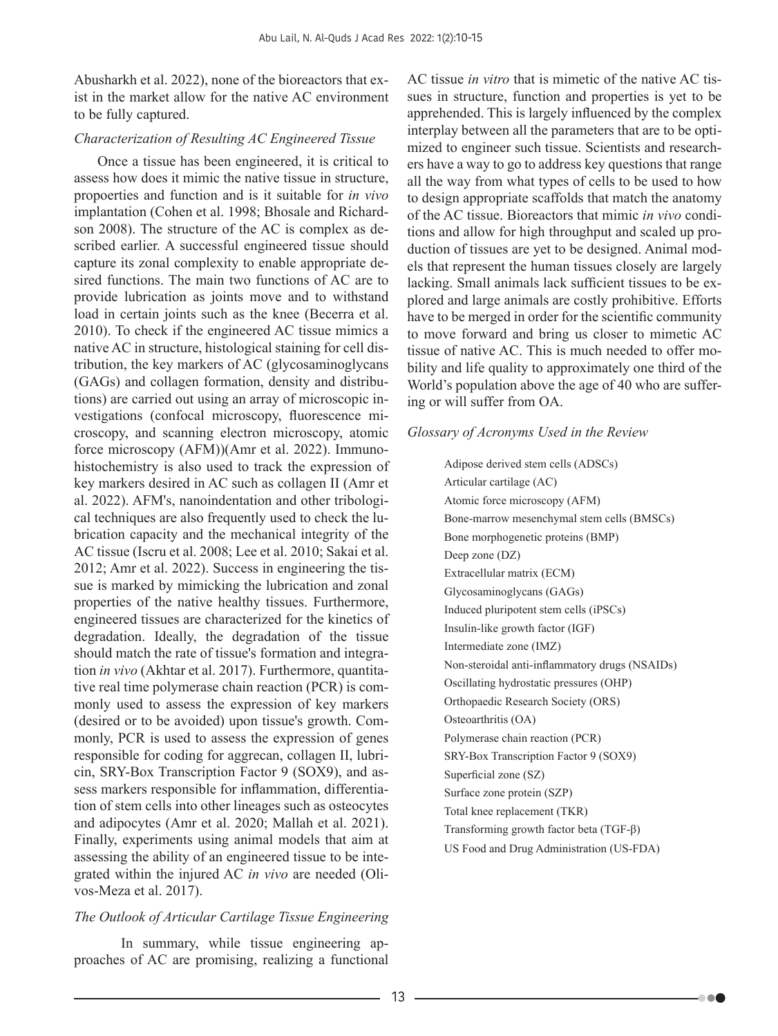Abusharkh et al. 2022), none of the bioreactors that exist in the market allow for the native AC environment to be fully captured.

# *Characterization of Resulting AC Engineered Tissue*

Once a tissue has been engineered, it is critical to assess how does it mimic the native tissue in structure, propoerties and function and is it suitable for *in vivo*  implantation (Cohen et al. 1998; Bhosale and Richardson 2008). The structure of the AC is complex as described earlier. A successful engineered tissue should capture its zonal complexity to enable appropriate desired functions. The main two functions of AC are to provide lubrication as joints move and to withstand load in certain joints such as the knee (Becerra et al. 2010). To check if the engineered AC tissue mimics a native AC in structure, histological staining for cell distribution, the key markers of AC (glycosaminoglycans (GAGs) and collagen formation, density and distributions) are carried out using an array of microscopic investigations (confocal microscopy, fluorescence microscopy, and scanning electron microscopy, atomic force microscopy (AFM))(Amr et al. 2022). Immunohistochemistry is also used to track the expression of key markers desired in AC such as collagen II (Amr et al. 2022). AFM's, nanoindentation and other tribological techniques are also frequently used to check the lubrication capacity and the mechanical integrity of the AC tissue (Iscru et al. 2008; Lee et al. 2010; Sakai et al. 2012; Amr et al. 2022). Success in engineering the tissue is marked by mimicking the lubrication and zonal properties of the native healthy tissues. Furthermore, engineered tissues are characterized for the kinetics of degradation. Ideally, the degradation of the tissue should match the rate of tissue's formation and integration *in vivo* (Akhtar et al. 2017). Furthermore, quantitative real time polymerase chain reaction (PCR) is commonly used to assess the expression of key markers (desired or to be avoided) upon tissue's growth. Commonly, PCR is used to assess the expression of genes responsible for coding for aggrecan, collagen II, lubricin, SRY-Box Transcription Factor 9 (SOX9), and assess markers responsible for inflammation, differentiation of stem cells into other lineages such as osteocytes and adipocytes (Amr et al. 2020; Mallah et al. 2021). Finally, experiments using animal models that aim at assessing the ability of an engineered tissue to be integrated within the injured AC *in vivo* are needed (Olivos-Meza et al. 2017).

# *The Outlook of Articular Cartilage Tissue Engineering*

In summary, while tissue engineering approaches of AC are promising, realizing a functional AC tissue *in vitro* that is mimetic of the native AC tissues in structure, function and properties is yet to be apprehended. This is largely influenced by the complex interplay between all the parameters that are to be optimized to engineer such tissue. Scientists and researchers have a way to go to address key questions that range all the way from what types of cells to be used to how to design appropriate scaffolds that match the anatomy of the AC tissue. Bioreactors that mimic *in vivo* conditions and allow for high throughput and scaled up production of tissues are yet to be designed. Animal models that represent the human tissues closely are largely lacking. Small animals lack sufficient tissues to be explored and large animals are costly prohibitive. Efforts have to be merged in order for the scientific community to move forward and bring us closer to mimetic AC tissue of native AC. This is much needed to offer mobility and life quality to approximately one third of the World's population above the age of 40 who are suffering or will suffer from OA.

# *Glossary of Acronyms Used in the Review*

Adipose derived stem cells (ADSCs) Articular cartilage (AC) Atomic force microscopy (AFM) Bone-marrow mesenchymal stem cells (BMSCs) Bone morphogenetic proteins (BMP) Deep zone (DZ) Extracellular matrix (ECM) Glycosaminoglycans (GAGs) Induced pluripotent stem cells (iPSCs) Insulin-like growth factor (IGF) Intermediate zone (IMZ) Non-steroidal anti-inflammatory drugs (NSAIDs) Oscillating hydrostatic pressures (OHP) Orthopaedic Research Society (ORS) Osteoarthritis (OA) Polymerase chain reaction (PCR) SRY-Box Transcription Factor 9 (SOX9) Superficial zone (SZ) Surface zone protein (SZP) Total knee replacement (TKR) Transforming growth factor beta (TGF-β) US Food and Drug Administration (US-FDA)

-00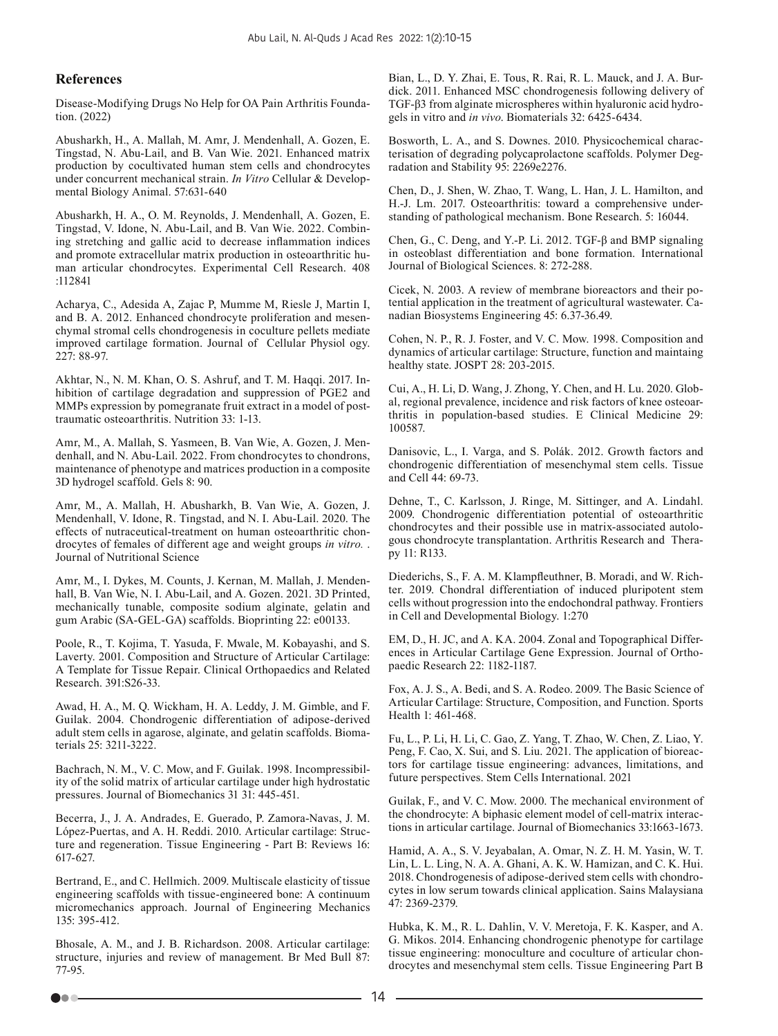#### **References**

Disease-Modifying Drugs No Help for OA Pain Arthritis Foundation. (2022)

Abusharkh, H., A. Mallah, M. Amr, J. Mendenhall, A. Gozen, E. Tingstad, N. Abu-Lail, and B. Van Wie. 2021. Enhanced matrix production by cocultivated human stem cells and chondrocytes under concurrent mechanical strain. *In Vitro* Cellular & Developmental Biology Animal. 57:631-640

Abusharkh, H. A., O. M. Reynolds, J. Mendenhall, A. Gozen, E. Tingstad, V. Idone, N. Abu-Lail, and B. Van Wie. 2022. Combining stretching and gallic acid to decrease inflammation indices and promote extracellular matrix production in osteoarthritic human articular chondrocytes. Experimental Cell Research. 408 :112841

Acharya, C., Adesida A, Zajac P, Mumme M, Riesle J, Martin I, and B. A. 2012. Enhanced chondrocyte proliferation and mesenchymal stromal cells chondrogenesis in coculture pellets mediate improved cartilage formation. Journal of Cellular Physiol ogy. 227: 88-97.

Akhtar, N., N. M. Khan, O. S. Ashruf, and T. M. Haqqi. 2017. Inhibition of cartilage degradation and suppression of PGE2 and MMPs expression by pomegranate fruit extract in a model of posttraumatic osteoarthritis. Nutrition 33: 1-13.

Amr, M., A. Mallah, S. Yasmeen, B. Van Wie, A. Gozen, J. Mendenhall, and N. Abu-Lail. 2022. From chondrocytes to chondrons, maintenance of phenotype and matrices production in a composite 3D hydrogel scaffold. Gels 8: 90.

Amr, M., A. Mallah, H. Abusharkh, B. Van Wie, A. Gozen, J. Mendenhall, V. Idone, R. Tingstad, and N. I. Abu-Lail. 2020. The effects of nutraceutical-treatment on human osteoarthritic chondrocytes of females of different age and weight groups *in vitro.* . Journal of Nutritional Science

Amr, M., I. Dykes, M. Counts, J. Kernan, M. Mallah, J. Mendenhall, B. Van Wie, N. I. Abu-Lail, and A. Gozen. 2021. 3D Printed, mechanically tunable, composite sodium alginate, gelatin and gum Arabic (SA-GEL-GA) scaffolds. Bioprinting 22: e00133.

Poole, R., T. Kojima, T. Yasuda, F. Mwale, M. Kobayashi, and S. Laverty. 2001. Composition and Structure of Articular Cartilage: A Template for Tissue Repair. Clinical Orthopaedics and Related Research. 391:S26-33.

Awad, H. A., M. Q. Wickham, H. A. Leddy, J. M. Gimble, and F. Guilak. 2004. Chondrogenic differentiation of adipose-derived adult stem cells in agarose, alginate, and gelatin scaffolds. Biomaterials 25: 3211-3222.

Bachrach, N. M., V. C. Mow, and F. Guilak. 1998. Incompressibility of the solid matrix of articular cartilage under high hydrostatic pressures. Journal of Biomechanics 31 31: 445-451.

Becerra, J., J. A. Andrades, E. Guerado, P. Zamora-Navas, J. M. López-Puertas, and A. H. Reddi. 2010. Articular cartilage: Structure and regeneration. Tissue Engineering - Part B: Reviews 16: 617-627.

Bertrand, E., and C. Hellmich. 2009. Multiscale elasticity of tissue engineering scaffolds with tissue-engineered bone: A continuum micromechanics approach. Journal of Engineering Mechanics 135: 395-412.

Bhosale, A. M., and J. B. Richardson. 2008. Articular cartilage: structure, injuries and review of management. Br Med Bull 87: 77-95.

Bian, L., D. Y. Zhai, E. Tous, R. Rai, R. L. Mauck, and J. A. Burdick. 2011. Enhanced MSC chondrogenesis following delivery of TGF-β3 from alginate microspheres within hyaluronic acid hydrogels in vitro and *in vivo*. Biomaterials 32: 6425-6434.

Bosworth, L. A., and S. Downes. 2010. Physicochemical characterisation of degrading polycaprolactone scaffolds. Polymer Degradation and Stability 95: 2269e2276.

Chen, D., J. Shen, W. Zhao, T. Wang, L. Han, J. L. Hamilton, and H.-J. Lm. 2017. Osteoarthritis: toward a comprehensive understanding of pathological mechanism. Bone Research. 5: 16044.

Chen, G., C. Deng, and Y.-P. Li. 2012. TGF-β and BMP signaling in osteoblast differentiation and bone formation. International Journal of Biological Sciences. 8: 272-288.

Cicek, N. 2003. A review of membrane bioreactors and their potential application in the treatment of agricultural wastewater. Canadian Biosystems Engineering 45: 6.37-36.49.

Cohen, N. P., R. J. Foster, and V. C. Mow. 1998. Composition and dynamics of articular cartilage: Structure, function and maintaing healthy state. JOSPT 28: 203-2015.

Cui, A., H. Li, D. Wang, J. Zhong, Y. Chen, and H. Lu. 2020. Global, regional prevalence, incidence and risk factors of knee osteoarthritis in population-based studies. E Clinical Medicine 29: 100587.

Danisovic, L., I. Varga, and S. Polák. 2012. Growth factors and chondrogenic differentiation of mesenchymal stem cells. Tissue and Cell 44: 69-73.

Dehne, T., C. Karlsson, J. Ringe, M. Sittinger, and A. Lindahl. 2009. Chondrogenic differentiation potential of osteoarthritic chondrocytes and their possible use in matrix-associated autologous chondrocyte transplantation. Arthritis Research and Therapy 11: R133.

Diederichs, S., F. A. M. Klampfleuthner, B. Moradi, and W. Richter. 2019. Chondral differentiation of induced pluripotent stem cells without progression into the endochondral pathway. Frontiers in Cell and Developmental Biology. 1:270

EM, D., H. JC, and A. KA. 2004. Zonal and Topographical Differences in Articular Cartilage Gene Expression. Journal of Orthopaedic Research 22: 1182-1187.

Fox, A. J. S., A. Bedi, and S. A. Rodeo. 2009. The Basic Science of Articular Cartilage: Structure, Composition, and Function. Sports Health 1: 461-468.

Fu, L., P. Li, H. Li, C. Gao, Z. Yang, T. Zhao, W. Chen, Z. Liao, Y. Peng, F. Cao, X. Sui, and S. Liu. 2021. The application of bioreactors for cartilage tissue engineering: advances, limitations, and future perspectives. Stem Cells International. 2021

Guilak, F., and V. C. Mow. 2000. The mechanical environment of the chondrocyte: A biphasic element model of cell-matrix interactions in articular cartilage. Journal of Biomechanics 33:1663-1673.

Hamid, A. A., S. V. Jeyabalan, A. Omar, N. Z. H. M. Yasin, W. T. Lin, L. L. Ling, N. A. A. Ghani, A. K. W. Hamizan, and C. K. Hui. 2018. Chondrogenesis of adipose-derived stem cells with chondrocytes in low serum towards clinical application. Sains Malaysiana 47: 2369-2379.

Hubka, K. M., R. L. Dahlin, V. V. Meretoja, F. K. Kasper, and A. G. Mikos. 2014. Enhancing chondrogenic phenotype for cartilage tissue engineering: monoculture and coculture of articular chondrocytes and mesenchymal stem cells. Tissue Engineering Part B